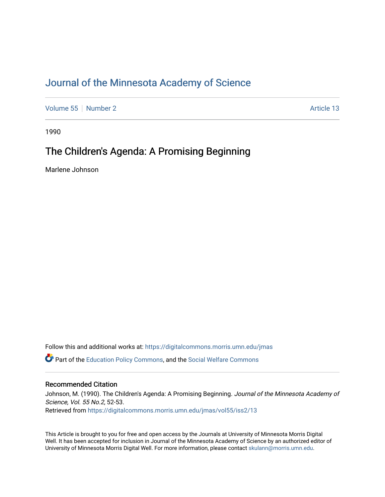# [Journal of the Minnesota Academy of Science](https://digitalcommons.morris.umn.edu/jmas)

[Volume 55](https://digitalcommons.morris.umn.edu/jmas/vol55) [Number 2](https://digitalcommons.morris.umn.edu/jmas/vol55/iss2) Article 13

1990

## The Children's Agenda: A Promising Beginning

Marlene Johnson

Follow this and additional works at: [https://digitalcommons.morris.umn.edu/jmas](https://digitalcommons.morris.umn.edu/jmas?utm_source=digitalcommons.morris.umn.edu%2Fjmas%2Fvol55%2Fiss2%2F13&utm_medium=PDF&utm_campaign=PDFCoverPages)  **C** Part of the [Education Policy Commons](https://network.bepress.com/hgg/discipline/1026?utm_source=digitalcommons.morris.umn.edu%2Fjmas%2Fvol55%2Fiss2%2F13&utm_medium=PDF&utm_campaign=PDFCoverPages), and the Social Welfare Commons

## Recommended Citation

Johnson, M. (1990). The Children's Agenda: A Promising Beginning. Journal of the Minnesota Academy of Science, Vol. 55 No.2, 52-53. Retrieved from [https://digitalcommons.morris.umn.edu/jmas/vol55/iss2/13](https://digitalcommons.morris.umn.edu/jmas/vol55/iss2/13?utm_source=digitalcommons.morris.umn.edu%2Fjmas%2Fvol55%2Fiss2%2F13&utm_medium=PDF&utm_campaign=PDFCoverPages) 

This Article is brought to you for free and open access by the Journals at University of Minnesota Morris Digital Well. It has been accepted for inclusion in Journal of the Minnesota Academy of Science by an authorized editor of University of Minnesota Morris Digital Well. For more information, please contact [skulann@morris.umn.edu](mailto:skulann@morris.umn.edu).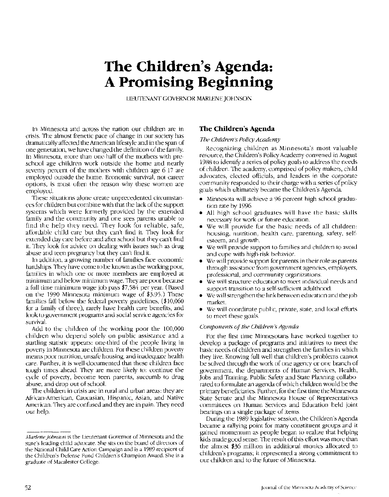# **The Children's Agenda: A Promising Beginning**

LIEUfENANT GOVERNOR MARLENE JOHNSON

In Minnesota and across the nation our children are in crisis. The almost frenetic pace of change in our society has dramatically affected the American lifestyle and in the span of one generation, we have changed the definition of the family. In Minnesota, more than one-half of the mothers with preschool age children work outside the home and nearly seventy percent of the mothers with children age 6-17 are employed outside the home. Economic survival, not career options, is most often the reason why these women are employed.

These situations alone create unprecedented circumstances for children but combine with that the lack of the support systems which were formerly provided by the extended family and the community and one sees parents unable to find the help they need. They look for reliable, safe, affordable child care but they can't find it. They look for extended day care before and after school but they can't find it. They look for advice on dealing with issues such as drug abuse and teen pregnancy but they can't find it.

In addition, a growing number of families face economic hardships. They have come to be known as the working poor, families in which one or more members are employed at minimum and below minimum wage. They are poor because a full-time minimum wage job pays \$7,584 per year. (Based on the 1990 Minnesota minimum wage of \$3.95.) These families fall below the federal poverty guidelines, (\$10,060 for a family of three), rarely have health care benefits, and look to government programs and social service agencies for survival.

Add to the children of the working poor the 100,000 children who depend solely on public assistance and a startling statistic appears: one-third of the people living in poverty in Minnesota are children. For these children poverty means poor nutrition, unsafe housing, and inadequate health care. Further, it is well-documented that these children face tough times ahead. They are more likely to: continue the cycle of poverty, become teen parents, succumb to drug abuse, and drop out of school.

The children in crisis are in rural and urban areas: they are African-American, Caucasian, Hispanic, Asian, and Native American. They are confused and they are in pain. They need our help.

## **The Children's Agenda**

#### *The Children's Policy Academy*

Recognizing children as Minnesota's most valuable resource, the Children's Policy Academy convened in August 1988 to identify a series of policy goals to address the needs of children. The academy, comprised of policy makers, child advocates, elected officials, and leaders in the corporate community responded to their charge with a series of policy goals which ultimately became the Children's Agenda.

- Minnesota will achieve a 96 percent high school graduation rate by 1996.
- All high school graduates will have the basic skills necessary for work or future education.
- We will provide for the basic needs of all children: housing, nutrition, health care, parenting, safety, selfesteem, and growth.
- We will provide support to families and children to avoid and cope with high-risk behavior.
- We will provide support for parents in their role as parents through assistance from government agencies, employers, professional, and community organizations.
- We will structure education to meet individual needs and support transition to a self-sufficient adulthood.
- We will strengthen the link between education and the job market.
- We will coordinate public, private, state, and local efforts to meet these goals.

#### *Components of the Children's Agenda*

For the first time Minnesotans have worked together to develop a package of programs and initiatives to meet the basic needs of children and strengthen the families in which they live. Knowing full well that children's problems cannot be solved through the work of one agency or one branch of government, the departments of Human Services, Health, Jobs and Training, Public Safety and State Planning collaborated to formulate an agenda of which children would be the primary beneficiaries. Further, for the first time the Minnesota State Senate and the Minnesota House of Representatives committees on Human Services and Education held joint hearings on a single package of items.

During the 1989 legislative session, the Children's Agenda became a rallying point for many constituent groups and it gained momentum as people began to realize that helping kids made good sense. The result of this effort was more than the almost \$36 million in additional monies allocated to children's programs; it represented a strong commitment-to our children and to the future of Minnesota.

*Marlene johnson* is the Lieutenant Governor of Minnesota and the state's leading child advocate. She sits on the board of directors of the National Child Care Action Campaign and is a 1989 recipient of the Children's Defense Fund Children's Champion Award. She is a graduate of Macalester College.